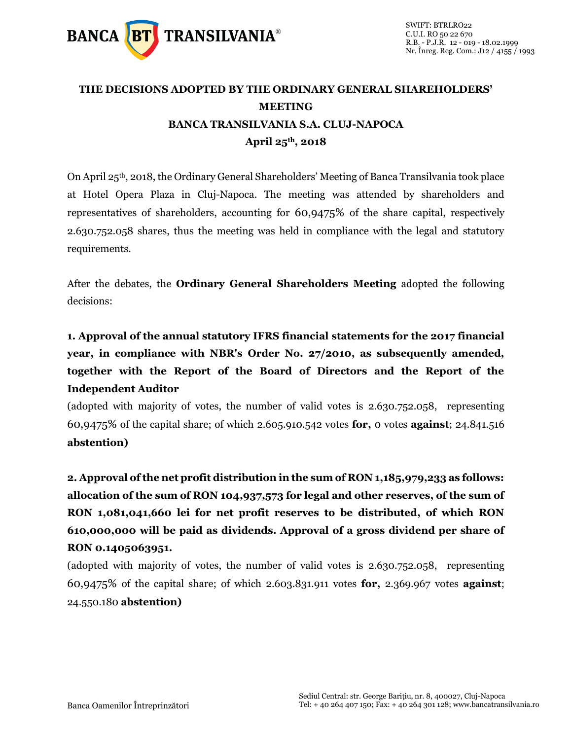

## **THE DECISIONS ADOPTED BY THE ORDINARY GENERAL SHAREHOLDERS' MEETING BANCA TRANSILVANIA S.A. CLUJ-NAPOCA April 25th, 2018**

On April 25<sup>th</sup>, 2018, the Ordinary General Shareholders' Meeting of Banca Transilvania took place at Hotel Opera Plaza in Cluj-Napoca. The meeting was attended by shareholders and representatives of shareholders, accounting for 60,9475% of the share capital, respectively 2.630.752.058 shares, thus the meeting was held in compliance with the legal and statutory requirements.

After the debates, the **Ordinary General Shareholders Meeting** adopted the following decisions:

**1. Approval of the annual statutory IFRS financial statements for the 2017 financial year, in compliance with NBR's Order No. 27/2010, as subsequently amended, together with the Report of the Board of Directors and the Report of the Independent Auditor**

(adopted with majority of votes, the number of valid votes is 2.630.752.058, representing 60,9475% of the capital share; of which 2.605.910.542 votes **for,** 0 votes **against**; 24.841.516 **abstention)**

**2. Approval of the net profit distribution in the sum of RON 1,185,979,233 as follows: allocation of the sum of RON 104,937,573 for legal and other reserves, of the sum of RON 1,081,041,660 lei for net profit reserves to be distributed, of which RON 610,000,000 will be paid as dividends. Approval of a gross dividend per share of RON 0.1405063951.**

(adopted with majority of votes, the number of valid votes is 2.630.752.058, representing 60,9475% of the capital share; of which 2.603.831.911 votes **for,** 2.369.967 votes **against**; 24.550.180 **abstention)**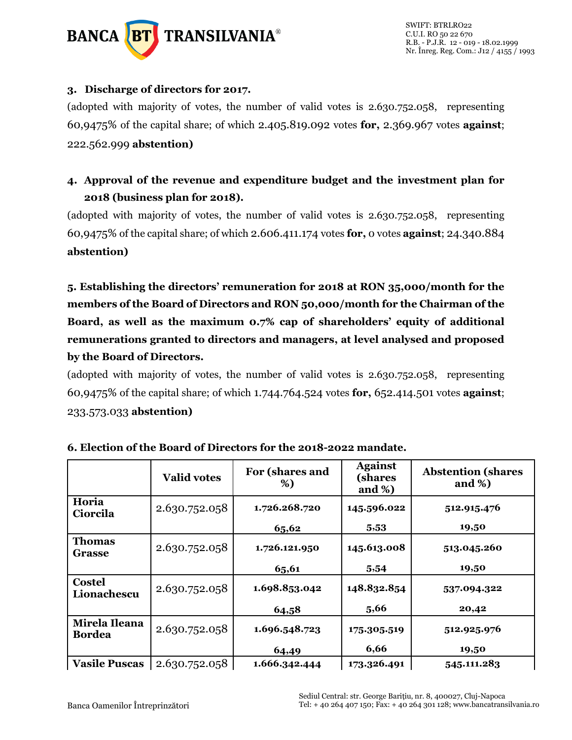

#### **3. Discharge of directors for 2017.**

(adopted with majority of votes, the number of valid votes is 2.630.752.058, representing 60,9475% of the capital share; of which 2.405.819.092 votes **for,** 2.369.967 votes **against**; 222.562.999 **abstention)**

### **4. Approval of the revenue and expenditure budget and the investment plan for 2018 (business plan for 2018).**

(adopted with majority of votes, the number of valid votes is 2.630.752.058, representing 60,9475% of the capital share; of which 2.606.411.174 votes **for,** 0 votes **against**; 24.340.884 **abstention)**

**5. Establishing the directors' remuneration for 2018 at RON 35,000/month for the members of the Board of Directors and RON 50,000/month for the Chairman of the Board, as well as the maximum 0.7% cap of shareholders' equity of additional remunerations granted to directors and managers, at level analysed and proposed by the Board of Directors.**

(adopted with majority of votes, the number of valid votes is 2.630.752.058, representing 60,9475% of the capital share; of which 1.744.764.524 votes **for,** 652.414.501 votes **against**; 233.573.033 **abstention)**

|                                | <b>Valid votes</b> | For (shares and<br>%) | <b>Against</b><br>(shares<br>and $\%$ ) | <b>Abstention (shares)</b><br>and $\%$ ) |
|--------------------------------|--------------------|-----------------------|-----------------------------------------|------------------------------------------|
| Horia<br>Ciorcila              | 2.630.752.058      | 1.726.268.720         | 145.596.022                             | 512.915.476                              |
|                                |                    | 65,62                 | 5,53                                    | 19,50                                    |
| <b>Thomas</b><br>Grasse        | 2.630.752.058      | 1.726.121.950         | 145.613.008                             | 513.045.260                              |
|                                |                    | 65,61                 | 5,54                                    | 19,50                                    |
| <b>Costel</b><br>Lionachescu   | 2.630.752.058      | 1.698.853.042         | 148.832.854                             | 537.094.322                              |
|                                |                    | 64,58                 | 5,66                                    | 20,42                                    |
| Mirela Ileana<br><b>Bordea</b> | 2.630.752.058      | 1.696.548.723         | 175.305.519                             | 512.925.976                              |
|                                |                    | 64,49                 | 6,66                                    | 19,50                                    |
| <b>Vasile Puscas</b>           | 2.630.752.058      | 1.666.342.444         | 173.326.491                             | 545.111.283                              |

|  | 6. Election of the Board of Directors for the 2018-2022 mandate. |
|--|------------------------------------------------------------------|
|--|------------------------------------------------------------------|